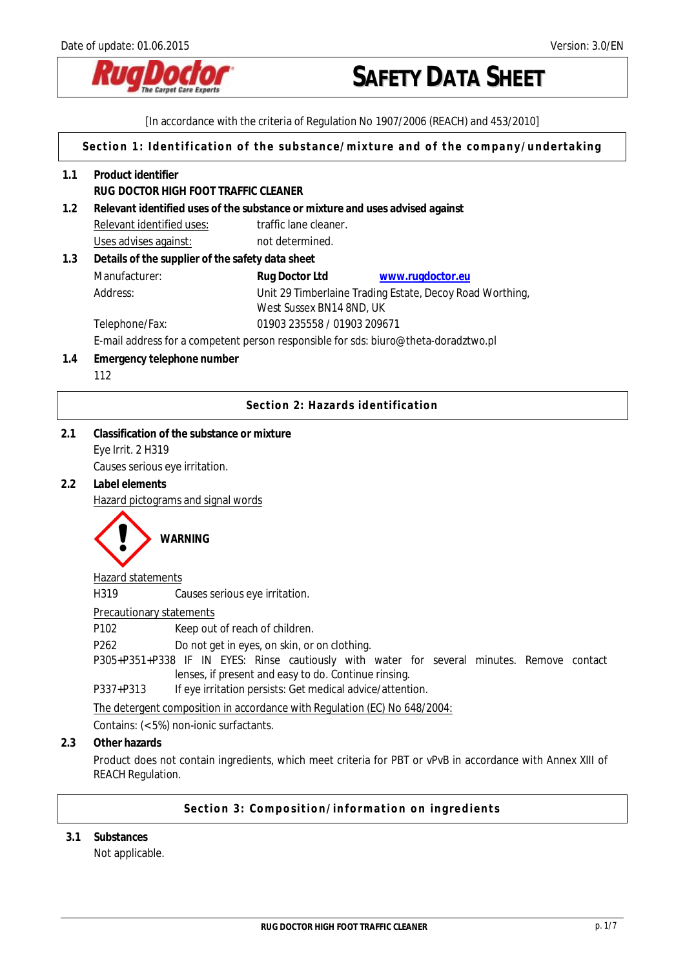

[In accordance with the criteria of Regulation No 1907/2006 (REACH) and 453/2010]

**Section 1: Identification of the substance/mixture and of the company/undertaking** 

| Relevant identified uses of the substance or mixture and uses advised against<br>1.2<br>traffic lane cleaner.<br>Relevant identified uses:<br>Uses advises against:<br>not determined.<br>1.3<br>Details of the supplier of the safety data sheet<br>Manufacturer:<br>Rug Doctor Ltd<br>www.rugdoctor.eu<br>Address:<br>Unit 29 Timberlaine Trading Estate, Decoy Road Worthing,<br>West Sussex BN14 8ND, UK<br>01903 235558 / 01903 209671<br>Telephone/Fax:<br>E-mail address for a competent person responsible for sds: biuro@theta-doradztwo.pl<br>Emergency telephone number<br>1.4<br>112<br>Section 2: Hazards identification<br>Classification of the substance or mixture<br>2.1<br>Eye Irrit. 2 H319<br>Causes serious eye irritation.<br>Label elements<br>2.2<br>Hazard pictograms and signal words<br><b>WARNING</b><br>Hazard statements<br>H319<br>Causes serious eye irritation.<br><b>Precautionary statements</b><br>P102<br>Keep out of reach of children.<br>P262<br>Do not get in eyes, on skin, or on clothing.<br>P305+P351+P338 IF IN EYES: Rinse cautiously with water for several minutes. Remove contact<br>lenses, if present and easy to do. Continue rinsing.<br>P337+P313<br>If eye irritation persists: Get medical advice/attention.<br>The detergent composition in accordance with Regulation (EC) No 648/2004:<br>Contains: (< 5%) non-ionic surfactants.<br>Other hazards<br>2.3<br>Product does not contain ingredients, which meet criteria for PBT or vPvB in accordance with Annex XIII of<br><b>REACH Regulation.</b> | 1.1 | Product identifier<br>RUG DOCTOR HIGH FOOT TRAFFIC CLEANER |                                                   |  |
|------------------------------------------------------------------------------------------------------------------------------------------------------------------------------------------------------------------------------------------------------------------------------------------------------------------------------------------------------------------------------------------------------------------------------------------------------------------------------------------------------------------------------------------------------------------------------------------------------------------------------------------------------------------------------------------------------------------------------------------------------------------------------------------------------------------------------------------------------------------------------------------------------------------------------------------------------------------------------------------------------------------------------------------------------------------------------------------------------------------------------------------------------------------------------------------------------------------------------------------------------------------------------------------------------------------------------------------------------------------------------------------------------------------------------------------------------------------------------------------------------------------------------------------------------------------|-----|------------------------------------------------------------|---------------------------------------------------|--|
|                                                                                                                                                                                                                                                                                                                                                                                                                                                                                                                                                                                                                                                                                                                                                                                                                                                                                                                                                                                                                                                                                                                                                                                                                                                                                                                                                                                                                                                                                                                                                                  |     |                                                            |                                                   |  |
|                                                                                                                                                                                                                                                                                                                                                                                                                                                                                                                                                                                                                                                                                                                                                                                                                                                                                                                                                                                                                                                                                                                                                                                                                                                                                                                                                                                                                                                                                                                                                                  |     |                                                            |                                                   |  |
|                                                                                                                                                                                                                                                                                                                                                                                                                                                                                                                                                                                                                                                                                                                                                                                                                                                                                                                                                                                                                                                                                                                                                                                                                                                                                                                                                                                                                                                                                                                                                                  |     |                                                            |                                                   |  |
|                                                                                                                                                                                                                                                                                                                                                                                                                                                                                                                                                                                                                                                                                                                                                                                                                                                                                                                                                                                                                                                                                                                                                                                                                                                                                                                                                                                                                                                                                                                                                                  |     |                                                            |                                                   |  |
|                                                                                                                                                                                                                                                                                                                                                                                                                                                                                                                                                                                                                                                                                                                                                                                                                                                                                                                                                                                                                                                                                                                                                                                                                                                                                                                                                                                                                                                                                                                                                                  |     |                                                            |                                                   |  |
|                                                                                                                                                                                                                                                                                                                                                                                                                                                                                                                                                                                                                                                                                                                                                                                                                                                                                                                                                                                                                                                                                                                                                                                                                                                                                                                                                                                                                                                                                                                                                                  |     |                                                            |                                                   |  |
|                                                                                                                                                                                                                                                                                                                                                                                                                                                                                                                                                                                                                                                                                                                                                                                                                                                                                                                                                                                                                                                                                                                                                                                                                                                                                                                                                                                                                                                                                                                                                                  |     |                                                            |                                                   |  |
|                                                                                                                                                                                                                                                                                                                                                                                                                                                                                                                                                                                                                                                                                                                                                                                                                                                                                                                                                                                                                                                                                                                                                                                                                                                                                                                                                                                                                                                                                                                                                                  |     |                                                            |                                                   |  |
|                                                                                                                                                                                                                                                                                                                                                                                                                                                                                                                                                                                                                                                                                                                                                                                                                                                                                                                                                                                                                                                                                                                                                                                                                                                                                                                                                                                                                                                                                                                                                                  |     |                                                            |                                                   |  |
|                                                                                                                                                                                                                                                                                                                                                                                                                                                                                                                                                                                                                                                                                                                                                                                                                                                                                                                                                                                                                                                                                                                                                                                                                                                                                                                                                                                                                                                                                                                                                                  |     |                                                            |                                                   |  |
|                                                                                                                                                                                                                                                                                                                                                                                                                                                                                                                                                                                                                                                                                                                                                                                                                                                                                                                                                                                                                                                                                                                                                                                                                                                                                                                                                                                                                                                                                                                                                                  |     |                                                            |                                                   |  |
|                                                                                                                                                                                                                                                                                                                                                                                                                                                                                                                                                                                                                                                                                                                                                                                                                                                                                                                                                                                                                                                                                                                                                                                                                                                                                                                                                                                                                                                                                                                                                                  |     |                                                            |                                                   |  |
|                                                                                                                                                                                                                                                                                                                                                                                                                                                                                                                                                                                                                                                                                                                                                                                                                                                                                                                                                                                                                                                                                                                                                                                                                                                                                                                                                                                                                                                                                                                                                                  |     |                                                            |                                                   |  |
|                                                                                                                                                                                                                                                                                                                                                                                                                                                                                                                                                                                                                                                                                                                                                                                                                                                                                                                                                                                                                                                                                                                                                                                                                                                                                                                                                                                                                                                                                                                                                                  |     |                                                            |                                                   |  |
|                                                                                                                                                                                                                                                                                                                                                                                                                                                                                                                                                                                                                                                                                                                                                                                                                                                                                                                                                                                                                                                                                                                                                                                                                                                                                                                                                                                                                                                                                                                                                                  |     |                                                            |                                                   |  |
|                                                                                                                                                                                                                                                                                                                                                                                                                                                                                                                                                                                                                                                                                                                                                                                                                                                                                                                                                                                                                                                                                                                                                                                                                                                                                                                                                                                                                                                                                                                                                                  |     |                                                            |                                                   |  |
|                                                                                                                                                                                                                                                                                                                                                                                                                                                                                                                                                                                                                                                                                                                                                                                                                                                                                                                                                                                                                                                                                                                                                                                                                                                                                                                                                                                                                                                                                                                                                                  |     |                                                            |                                                   |  |
|                                                                                                                                                                                                                                                                                                                                                                                                                                                                                                                                                                                                                                                                                                                                                                                                                                                                                                                                                                                                                                                                                                                                                                                                                                                                                                                                                                                                                                                                                                                                                                  |     |                                                            |                                                   |  |
|                                                                                                                                                                                                                                                                                                                                                                                                                                                                                                                                                                                                                                                                                                                                                                                                                                                                                                                                                                                                                                                                                                                                                                                                                                                                                                                                                                                                                                                                                                                                                                  |     |                                                            |                                                   |  |
|                                                                                                                                                                                                                                                                                                                                                                                                                                                                                                                                                                                                                                                                                                                                                                                                                                                                                                                                                                                                                                                                                                                                                                                                                                                                                                                                                                                                                                                                                                                                                                  |     |                                                            |                                                   |  |
|                                                                                                                                                                                                                                                                                                                                                                                                                                                                                                                                                                                                                                                                                                                                                                                                                                                                                                                                                                                                                                                                                                                                                                                                                                                                                                                                                                                                                                                                                                                                                                  |     |                                                            |                                                   |  |
|                                                                                                                                                                                                                                                                                                                                                                                                                                                                                                                                                                                                                                                                                                                                                                                                                                                                                                                                                                                                                                                                                                                                                                                                                                                                                                                                                                                                                                                                                                                                                                  |     |                                                            |                                                   |  |
|                                                                                                                                                                                                                                                                                                                                                                                                                                                                                                                                                                                                                                                                                                                                                                                                                                                                                                                                                                                                                                                                                                                                                                                                                                                                                                                                                                                                                                                                                                                                                                  |     |                                                            |                                                   |  |
|                                                                                                                                                                                                                                                                                                                                                                                                                                                                                                                                                                                                                                                                                                                                                                                                                                                                                                                                                                                                                                                                                                                                                                                                                                                                                                                                                                                                                                                                                                                                                                  |     |                                                            |                                                   |  |
|                                                                                                                                                                                                                                                                                                                                                                                                                                                                                                                                                                                                                                                                                                                                                                                                                                                                                                                                                                                                                                                                                                                                                                                                                                                                                                                                                                                                                                                                                                                                                                  |     |                                                            |                                                   |  |
|                                                                                                                                                                                                                                                                                                                                                                                                                                                                                                                                                                                                                                                                                                                                                                                                                                                                                                                                                                                                                                                                                                                                                                                                                                                                                                                                                                                                                                                                                                                                                                  |     |                                                            |                                                   |  |
|                                                                                                                                                                                                                                                                                                                                                                                                                                                                                                                                                                                                                                                                                                                                                                                                                                                                                                                                                                                                                                                                                                                                                                                                                                                                                                                                                                                                                                                                                                                                                                  |     |                                                            |                                                   |  |
|                                                                                                                                                                                                                                                                                                                                                                                                                                                                                                                                                                                                                                                                                                                                                                                                                                                                                                                                                                                                                                                                                                                                                                                                                                                                                                                                                                                                                                                                                                                                                                  |     |                                                            |                                                   |  |
|                                                                                                                                                                                                                                                                                                                                                                                                                                                                                                                                                                                                                                                                                                                                                                                                                                                                                                                                                                                                                                                                                                                                                                                                                                                                                                                                                                                                                                                                                                                                                                  |     |                                                            |                                                   |  |
|                                                                                                                                                                                                                                                                                                                                                                                                                                                                                                                                                                                                                                                                                                                                                                                                                                                                                                                                                                                                                                                                                                                                                                                                                                                                                                                                                                                                                                                                                                                                                                  |     |                                                            | Section 3: Composition/information on ingredients |  |

**3.1 Substances**  Not applicable.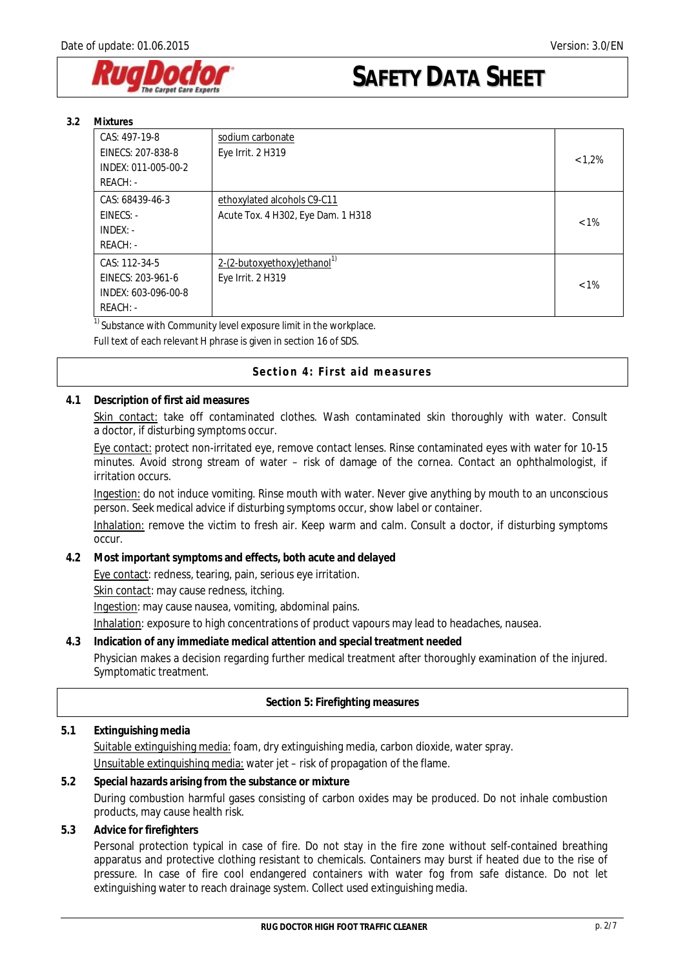

| 3.2 | Mixtures |
|-----|----------|
|-----|----------|

| CAS: 497-19-8       | sodium carbonate                         |         |
|---------------------|------------------------------------------|---------|
| EINECS: 207-838-8   | Eye Irrit. 2 H319                        | < 1.2%  |
| INDEX: 011-005-00-2 |                                          |         |
| $REACH: -$          |                                          |         |
| CAS: 68439-46-3     | ethoxylated alcohols C9-C11              |         |
| $EINECS: -$         | Acute Tox. 4 H302, Eye Dam. 1 H318       | $< 1\%$ |
| $INDEX: -$          |                                          |         |
| $REACH: -$          |                                          |         |
| CAS: 112-34-5       | 2-(2-butoxyethoxy) ethanol <sup>1)</sup> |         |
| EINECS: 203-961-6   | Eye Irrit. 2 H319                        | $< 1\%$ |
| INDEX: 603-096-00-8 |                                          |         |
| $REACH: -$          |                                          |         |

 $\frac{1}{1}$  Substance with Community level exposure limit in the workplace.

Full text of each relevant H phrase is given in section 16 of SDS.

#### **Section 4: First aid measures**

#### **4.1 Description of first aid measures**

Skin contact: take off contaminated clothes. Wash contaminated skin thoroughly with water. Consult a doctor, if disturbing symptoms occur.

Eye contact: protect non-irritated eye, remove contact lenses. Rinse contaminated eyes with water for 10-15 minutes. Avoid strong stream of water – risk of damage of the cornea. Contact an ophthalmologist, if irritation occurs.

Ingestion: do not induce vomiting. Rinse mouth with water. Never give anything by mouth to an unconscious person. Seek medical advice if disturbing symptoms occur, show label or container.

Inhalation: remove the victim to fresh air. Keep warm and calm. Consult a doctor, if disturbing symptoms occur.

**4.2 Most important symptoms and effects, both acute and delayed** 

Eye contact: redness, tearing, pain, serious eye irritation.

Skin contact: may cause redness, itching.

Ingestion: may cause nausea, vomiting, abdominal pains.

Inhalation: exposure to high concentrations of product vapours may lead to headaches, nausea.

**4.3 Indication of any immediate medical attention and special treatment needed** Physician makes a decision regarding further medical treatment after thoroughly examination of the injured. Symptomatic treatment.

## **Section 5: Firefighting measures**

## **5.1 Extinguishing media**  Suitable extinguishing media: foam, dry extinguishing media, carbon dioxide, water spray. Unsuitable extinguishing media: water jet – risk of propagation of the flame.

- **5.2 Special hazards arising from the substance or mixture**  During combustion harmful gases consisting of carbon oxides may be produced. Do not inhale combustion products, may cause health risk.
- **5.3 Advice for firefighters**

Personal protection typical in case of fire. Do not stay in the fire zone without self-contained breathing apparatus and protective clothing resistant to chemicals. Containers may burst if heated due to the rise of pressure. In case of fire cool endangered containers with water fog from safe distance. Do not let extinguishing water to reach drainage system. Collect used extinguishing media.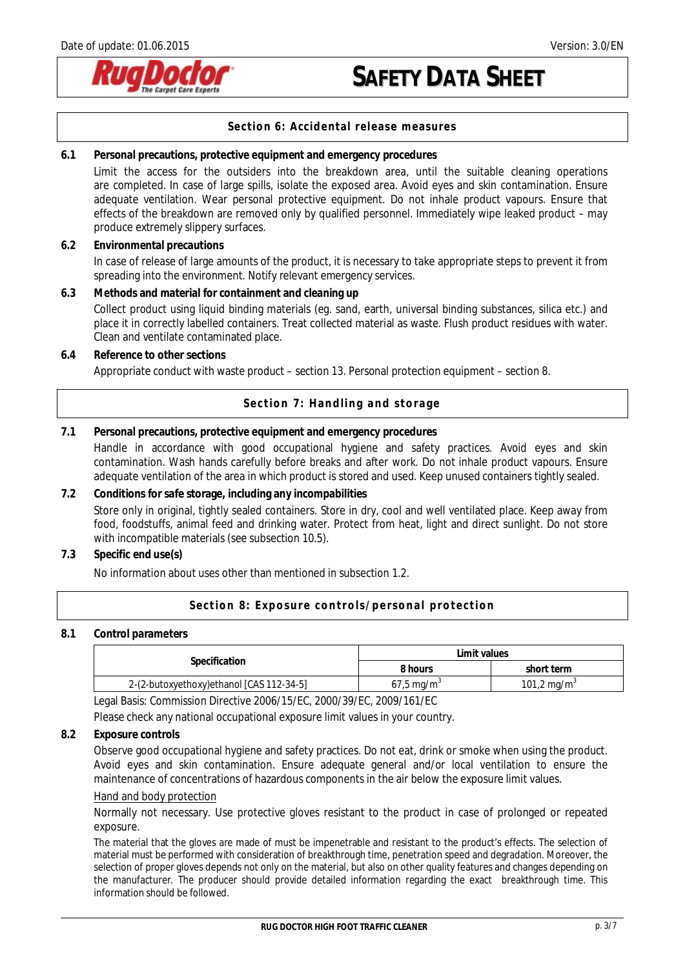

#### **Section 6: Accidental release measures**

| 6.1 | Personal precautions, protective equipment and emergency procedures<br>Limit the access for the outsiders into the breakdown area, until the suitable cleaning operations<br>are completed. In case of large spills, isolate the exposed area. Avoid eyes and skin contamination. Ensure<br>adequate ventilation. Wear personal protective equipment. Do not inhale product vapours. Ensure that<br>effects of the breakdown are removed only by qualified personnel. Immediately wipe leaked product - may<br>produce extremely slippery surfaces. |
|-----|-----------------------------------------------------------------------------------------------------------------------------------------------------------------------------------------------------------------------------------------------------------------------------------------------------------------------------------------------------------------------------------------------------------------------------------------------------------------------------------------------------------------------------------------------------|
| 6.2 | <b>Environmental precautions</b>                                                                                                                                                                                                                                                                                                                                                                                                                                                                                                                    |
|     | In case of release of large amounts of the product, it is necessary to take appropriate steps to prevent it from<br>spreading into the environment. Notify relevant emergency services.                                                                                                                                                                                                                                                                                                                                                             |
| 6.3 | Methods and material for containment and cleaning up<br>Collect product using liquid binding materials (eg. sand, earth, universal binding substances, silica etc.) and<br>place it in correctly labelled containers. Treat collected material as waste. Flush product residues with water.<br>Clean and ventilate contaminated place.                                                                                                                                                                                                              |
| 6.4 | Reference to other sections<br>Appropriate conduct with waste product – section 13. Personal protection equipment – section 8.                                                                                                                                                                                                                                                                                                                                                                                                                      |
|     | Section 7: Handling and storage                                                                                                                                                                                                                                                                                                                                                                                                                                                                                                                     |

### **7.1 Personal precautions, protective equipment and emergency procedures**  Handle in accordance with good occupational hygiene and safety practices. Avoid eyes and skin contamination. Wash hands carefully before breaks and after work. Do not inhale product vapours. Ensure adequate ventilation of the area in which product is stored and used. Keep unused containers tightly sealed.

## **7.2 Conditions for safe storage, including any incompabilities**  Store only in original, tightly sealed containers. Store in dry, cool and well ventilated place. Keep away from food, foodstuffs, animal feed and drinking water. Protect from heat, light and direct sunlight. Do not store with incompatible materials (see subsection 10.5).

**7.3 Specific end use(s)** 

No information about uses other than mentioned in subsection 1.2.

#### **Section 8: Exposure controls/personal protection**

#### **8.1 Control parameters**

|                                          | Limit values              |                         |
|------------------------------------------|---------------------------|-------------------------|
| Specification                            | 3 hours                   | short term              |
| 2-(2-butoxyethoxy)ethanol [CAS 112-34-5] | $67.5 \,\mathrm{mag/m}^3$ | 101,2 mg/m <sup>3</sup> |

Legal Basis: Commission Directive 2006/15/EC, 2000/39/EC, 2009/161/EC

Please check any national occupational exposure limit values in your country.

**8.2 Exposure controls**

Observe good occupational hygiene and safety practices. Do not eat, drink or smoke when using the product. Avoid eyes and skin contamination. Ensure adequate general and/or local ventilation to ensure the maintenance of concentrations of hazardous components in the air below the exposure limit values.

#### Hand and body protection

Normally not necessary. Use protective gloves resistant to the product in case of prolonged or repeated exposure.

The material that the gloves are made of must be impenetrable and resistant to the product's effects. The selection of material must be performed with consideration of breakthrough time, penetration speed and degradation. Moreover, the selection of proper gloves depends not only on the material, but also on other quality features and changes depending on the manufacturer. The producer should provide detailed information regarding the exact breakthrough time. This information should be followed.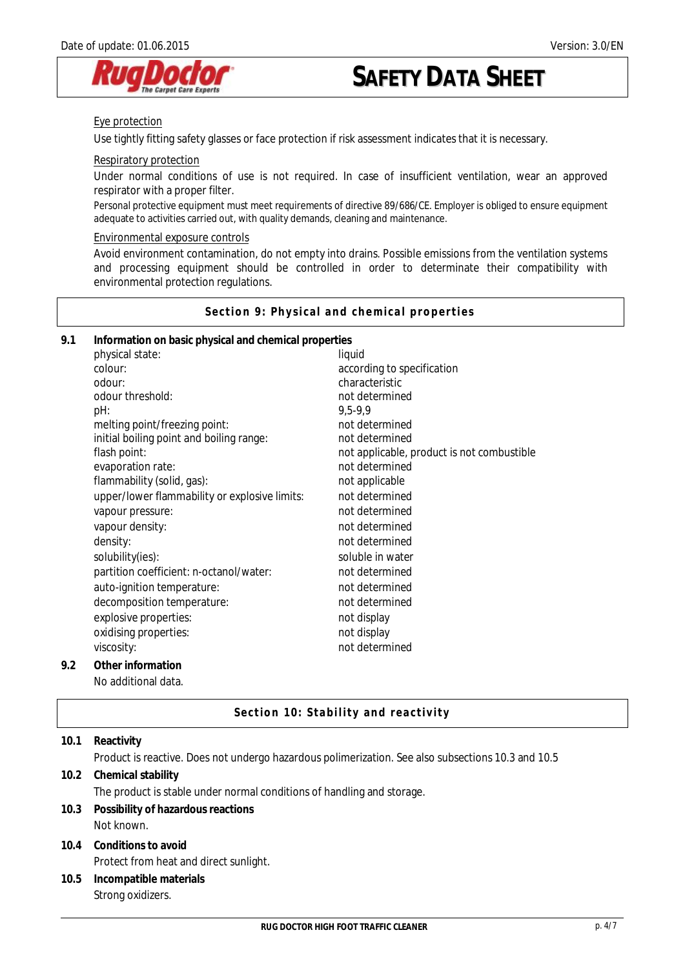

#### Eye protection

Use tightly fitting safety glasses or face protection if risk assessment indicates that it is necessary.

#### Respiratory protection

Under normal conditions of use is not required. In case of insufficient ventilation, wear an approved respirator with a proper filter.

Personal protective equipment must meet requirements of directive 89/686/CE. Employer is obliged to ensure equipment adequate to activities carried out, with quality demands, cleaning and maintenance.

#### Environmental exposure controls

Avoid environment contamination, do not empty into drains. Possible emissions from the ventilation systems and processing equipment should be controlled in order to determinate their compatibility with environmental protection regulations.

**Section 9: Physical and chemical properties** 

| 9.1 | Information on basic physical and chemical properties |                                            |
|-----|-------------------------------------------------------|--------------------------------------------|
|     | physical state:                                       | liquid                                     |
|     | colour:                                               | according to specification                 |
|     | odour:                                                | characteristic                             |
|     | odour threshold:                                      | not determined                             |
|     | pH:                                                   | 9,5-9,9                                    |
|     | melting point/freezing point:                         | not determined                             |
|     | initial boiling point and boiling range:              | not determined                             |
|     | flash point:                                          | not applicable, product is not combustible |
|     | evaporation rate:                                     | not determined                             |
|     | flammability (solid, gas):                            | not applicable                             |
|     | upper/lower flammability or explosive limits:         | not determined                             |
|     | vapour pressure:                                      | not determined                             |
|     | vapour density:                                       | not determined                             |
|     | density:                                              | not determined                             |
|     | solubility(ies):                                      | soluble in water                           |
|     | partition coefficient: n-octanol/water:               | not determined                             |
|     | auto-ignition temperature:                            | not determined                             |
|     | decomposition temperature:                            | not determined                             |
|     | explosive properties:                                 | not display                                |
|     | oxidising properties:                                 | not display                                |
|     | viscosity:                                            | not determined                             |
| 9.2 | Other information                                     |                                            |
|     | No additional data.                                   |                                            |

#### **Section 10: Stability and reactivity**

| 10.1 | Reactivity                                                                                         |  |
|------|----------------------------------------------------------------------------------------------------|--|
|      | Product is reactive. Does not undergo hazardous polimerization. See also subsections 10.3 and 10.5 |  |
| 10.2 | Chemical stability                                                                                 |  |
|      | The product is stable under normal conditions of handling and storage.                             |  |
| 10.3 | Possibility of hazardous reactions                                                                 |  |
|      | Not known.                                                                                         |  |
|      | 10.4 Conditions to avoid                                                                           |  |
|      | Protect from heat and direct sunlight.                                                             |  |
| 10.5 | Incompatible materials                                                                             |  |
|      | Strong oxidizers.                                                                                  |  |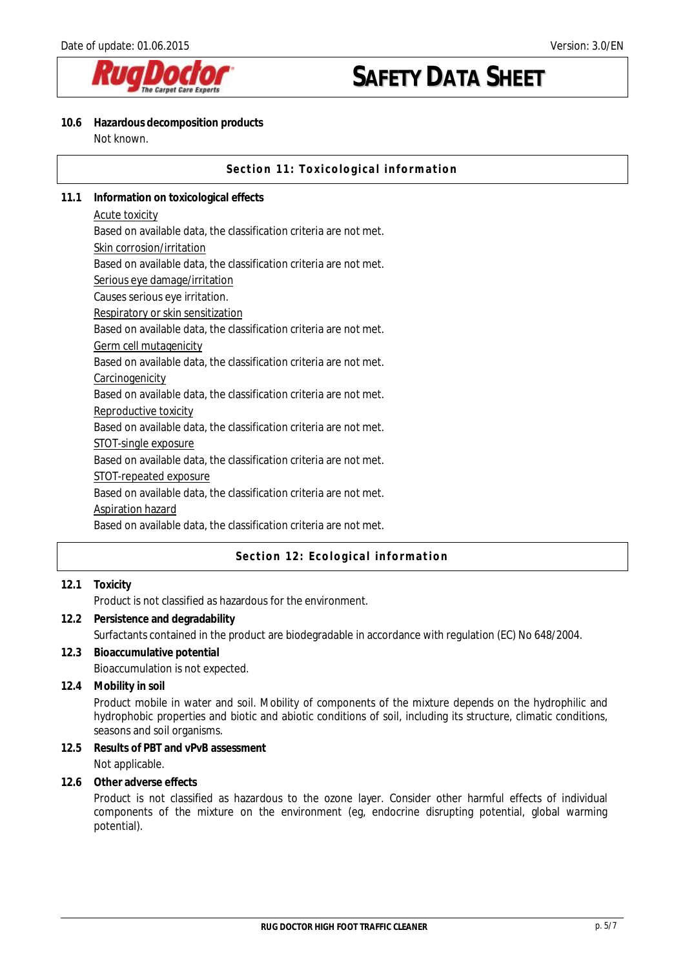

#### **10.6 Hazardous decomposition products**  Not known.

|      | Section 11: Toxicological information                             |
|------|-------------------------------------------------------------------|
| 11.1 | Information on toxicological effects                              |
|      | Acute toxicity                                                    |
|      | Based on available data, the classification criteria are not met. |
|      | Skin corrosion/irritation                                         |
|      | Based on available data, the classification criteria are not met. |
|      | Serious eye damage/irritation                                     |
|      | Causes serious eye irritation.                                    |
|      | Respiratory or skin sensitization                                 |
|      | Based on available data, the classification criteria are not met. |
|      | Germ cell mutagenicity                                            |
|      | Based on available data, the classification criteria are not met. |
|      | Carcinogenicity                                                   |
|      | Based on available data, the classification criteria are not met. |
|      | Reproductive toxicity                                             |
|      | Based on available data, the classification criteria are not met. |
|      | STOT-single exposure                                              |
|      | Based on available data, the classification criteria are not met. |
|      | <b>STOT-repeated exposure</b>                                     |
|      | Based on available data, the classification criteria are not met. |
|      | <b>Aspiration hazard</b>                                          |
|      | Based on available data, the classification criteria are not met. |
|      |                                                                   |

## **Section 12: Ecological information**

## **12.1 Toxicity**

Product is not classified as hazardous for the environment.

- **12.2 Persistence and degradability**  Surfactants contained in the product are biodegradable in accordance with regulation (EC) No 648/2004.
- **12.3 Bioaccumulative potential**  Bioaccumulation is not expected.
- **12.4 Mobility in soil**

Product mobile in water and soil. Mobility of components of the mixture depends on the hydrophilic and hydrophobic properties and biotic and abiotic conditions of soil, including its structure, climatic conditions, seasons and soil organisms.

**12.5 Results of PBT and vPvB assessment**  Not applicable.

**12.6 Other adverse effects** 

Product is not classified as hazardous to the ozone layer. Consider other harmful effects of individual components of the mixture on the environment (eg, endocrine disrupting potential, global warming potential).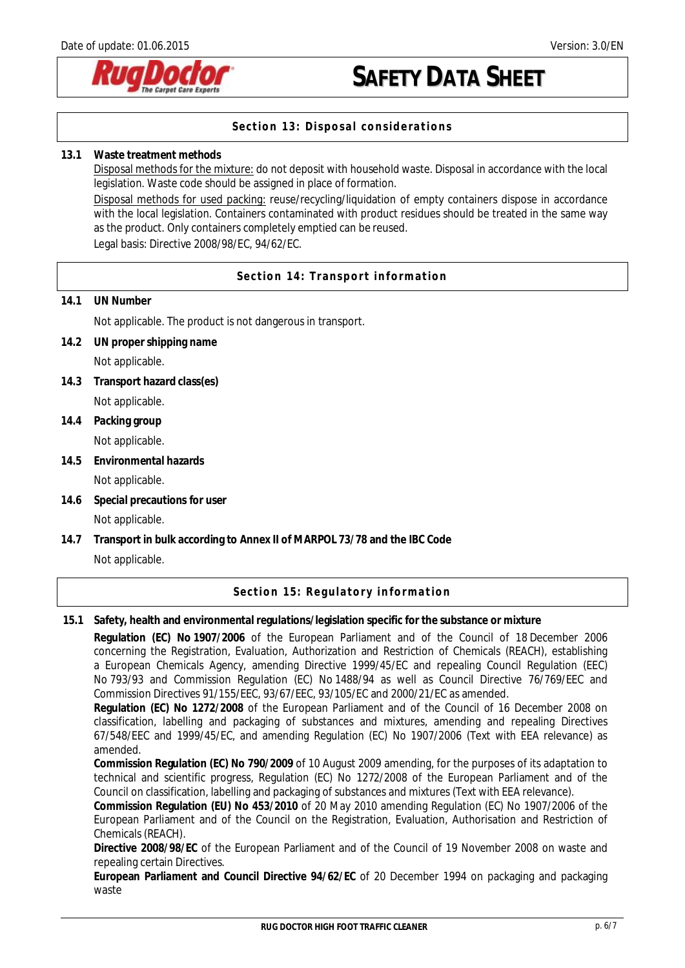

## **Section 13: Disposal considerations**

#### **13.1 Waste treatment methods**

Disposal methods for the mixture: do not deposit with household waste. Disposal in accordance with the local legislation. Waste code should be assigned in place of formation.

Disposal methods for used packing: reuse/recycling/liquidation of empty containers dispose in accordance with the local legislation. Containers contaminated with product residues should be treated in the same way as the product. Only containers completely emptied can be reused. Legal basis: Directive 2008/98/EC, 94/62/EC.

**Section 14: Transport information** 

**14.1 UN Number**

Not applicable. The product is not dangerous in transport.

**14.2 UN proper shipping name** 

Not applicable.

- **14.3 Transport hazard class(es)**  Not applicable.
- **14.4 Packing group**

Not applicable.

**14.5 Environmental hazards** 

Not applicable.

**14.6 Special precautions for user** 

## Not applicable.

**14.7 Transport in bulk according to Annex II of MARPOL 73/78 and the IBC Code**  Not applicable.

## **Section 15: Regulatory information**

**15.1 Safety, health and environmental regulations/legislation specific for the substance or mixture** 

**Regulation (EC) No 1907/2006** of the European Parliament and of the Council of 18 December 2006 concerning the Registration, Evaluation, Authorization and Restriction of Chemicals (REACH), establishing a European Chemicals Agency, amending Directive 1999/45/EC and repealing Council Regulation (EEC) No 793/93 and Commission Regulation (EC) No 1488/94 as well as Council Directive 76/769/EEC and Commission Directives 91/155/EEC, 93/67/EEC, 93/105/EC and 2000/21/EC as amended.

**Regulation (EC) No 1272/2008** of the European Parliament and of the Council of 16 December 2008 on classification, labelling and packaging of substances and mixtures, amending and repealing Directives 67/548/EEC and 1999/45/EC, and amending Regulation (EC) No 1907/2006 (Text with EEA relevance) as amended.

**Commission Regulation (EC) No 790/2009** of 10 August 2009 amending, for the purposes of its adaptation to technical and scientific progress, Regulation (EC) No 1272/2008 of the European Parliament and of the Council on classification, labelling and packaging of substances and mixtures (Text with EEA relevance).

**Commission Regulation (EU) No 453/2010** of 20 May 2010 amending Regulation (EC) No 1907/2006 of the European Parliament and of the Council on the Registration, Evaluation, Authorisation and Restriction of Chemicals (REACH).

**Directive 2008/98/EC** of the European Parliament and of the Council of 19 November 2008 on waste and repealing certain Directives.

**European Parliament and Council Directive 94/62/EC** of 20 December 1994 on packaging and packaging waste